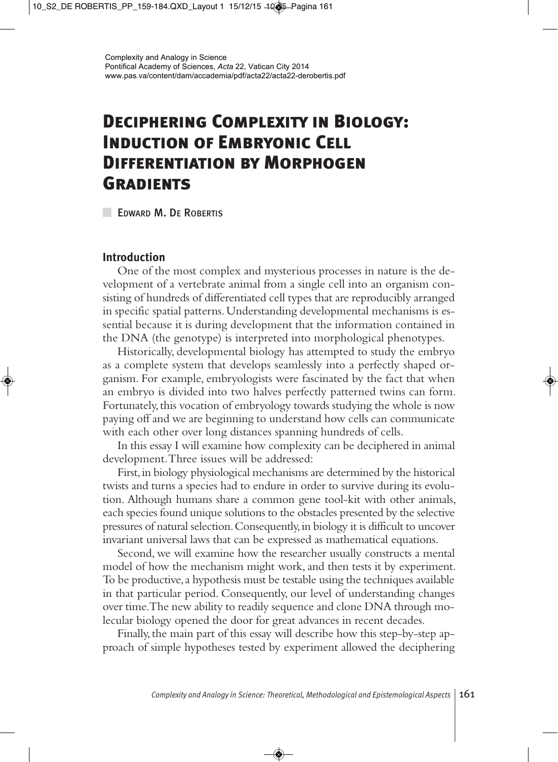# **Deciphering Complexity in Biology: Induction of Embryonic Cell Differentiation by Morphogen Gradients**

**EDWARD M. DE ROBERTIS** 

## **Introduction**

One of the most complex and mysterious processes in nature is the development of a vertebrate animal from a single cell into an organism consisting of hundreds of differentiated cell types that are reproducibly arranged in specific spatial patterns. Understanding developmental mechanisms is essential because it is during development that the information contained in the DNA (the genotype) is interpreted into morphological phenotypes.

Historically, developmental biology has attempted to study the embryo as a complete system that develops seamlessly into a perfectly shaped organism. For example, embryologists were fascinated by the fact that when an embryo is divided into two halves perfectly patterned twins can form. Fortunately, this vocation of embryology towards studying the whole is now paying off and we are beginning to understand how cells can communicate with each other over long distances spanning hundreds of cells.

In this essay I will examine how complexity can be deciphered in animal development. Three issues will be addressed:

First, in biology physiological mechanisms are determined by the historical twists and turns a species had to endure in order to survive during its evolution. Although humans share a common gene tool-kit with other animals, each species found unique solutions to the obstacles presented by the selective pressures of natural selection. Consequently, in biology it is difficult to uncover invariant universal laws that can be expressed as mathematical equations.

Second, we will examine how the researcher usually constructs a mental model of how the mechanism might work, and then tests it by experiment. To be productive, a hypothesis must be testable using the techniques available in that particular period. Consequently, our level of understanding changes over time. The new ability to readily sequence and clone DNA through molecular biology opened the door for great advances in recent decades.

Finally, the main part of this essay will describe how this step-by-step approach of simple hypotheses tested by experiment allowed the deciphering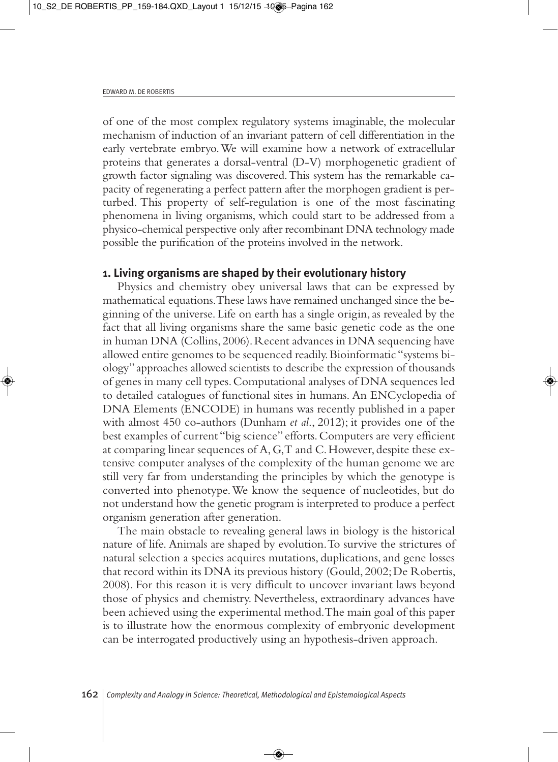of one of the most complex regulatory systems imaginable, the molecular mechanism of induction of an invariant pattern of cell differentiation in the early vertebrate embryo. We will examine how a network of extracellular proteins that generates a dorsal-ventral (D-V) morphogenetic gradient of growth factor signaling was discovered. This system has the remarkable capacity of regenerating a perfect pattern after the morphogen gradient is perturbed. This property of self-regulation is one of the most fascinating phenomena in living organisms, which could start to be addressed from a physico-chemical perspective only after recombinant DNA technology made possible the purification of the proteins involved in the network.

#### **1. Living organisms are shaped by their evolutionary history**

Physics and chemistry obey universal laws that can be expressed by mathematical equations. These laws have remained unchanged since the beginning of the universe. Life on earth has a single origin, as revealed by the fact that all living organisms share the same basic genetic code as the one in human DNA (Collins, 2006). Recent advances in DNA sequencing have allowed entire genomes to be sequenced readily. Bioinformatic "systems biology" approaches allowed scientists to describe the expression of thousands of genes in many cell types. Computational analyses of DNA sequences led to detailed catalogues of functional sites in humans. An ENCyclopedia of DNA Elements (ENCODE) in humans was recently published in a paper with almost 450 co-authors (Dunham *et al*., 2012); it provides one of the best examples of current "big science" efforts. Computers are very efficient at comparing linear sequences of A, G, T and C. However, despite these extensive computer analyses of the complexity of the human genome we are still very far from understanding the principles by which the genotype is converted into phenotype. We know the sequence of nucleotides, but do not understand how the genetic program is interpreted to produce a perfect organism generation after generation.

The main obstacle to revealing general laws in biology is the historical nature of life. Animals are shaped by evolution. To survive the strictures of natural selection a species acquires mutations, duplications, and gene losses that record within its DNA its previous history (Gould, 2002; De Robertis, 2008). For this reason it is very difficult to uncover invariant laws beyond those of physics and chemistry. Nevertheless, extraordinary advances have been achieved using the experimental method. The main goal of this paper is to illustrate how the enormous complexity of embryonic development can be interrogated productively using an hypothesis-driven approach.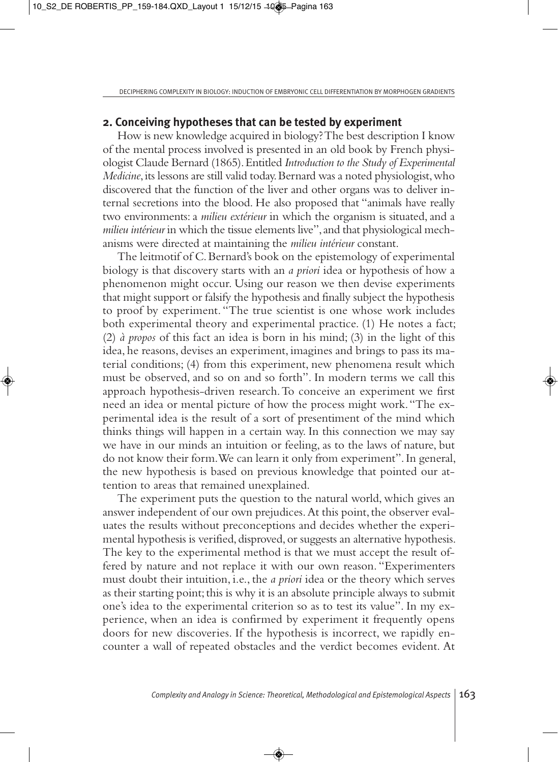#### **2. Conceiving hypotheses that can be tested by experiment**

How is new knowledge acquired in biology? The best description I know of the mental process involved is presented in an old book by French physiologist Claude Bernard (1865). Entitled *Introduction to the Study of Experimental Medicine*, its lessons are still valid today. Bernard was a noted physiologist, who discovered that the function of the liver and other organs was to deliver internal secretions into the blood. He also proposed that "animals have really two environments: a *milieu extérieur* in which the organism is situated, and a *milieu intérieur* in which the tissue elements live", and that physiological mechanisms were directed at maintaining the *milieu intérieur* constant.

The leitmotif of C. Bernard's book on the epistemology of experimental biology is that discovery starts with an *a priori* idea or hypothesis of how a phenomenon might occur. Using our reason we then devise experiments that might support or falsify the hypothesis and finally subject the hypothesis to proof by experiment. "The true scientist is one whose work includes both experimental theory and experimental practice. (1) He notes a fact; (2) *à propos* of this fact an idea is born in his mind; (3) in the light of this idea, he reasons, devises an experiment, imagines and brings to pass its material conditions; (4) from this experiment, new phenomena result which must be observed, and so on and so forth". In modern terms we call this approach hypothesis-driven research. To conceive an experiment we first need an idea or mental picture of how the process might work. "The experimental idea is the result of a sort of presentiment of the mind which thinks things will happen in a certain way. In this connection we may say we have in our minds an intuition or feeling, as to the laws of nature, but do not know their form. We can learn it only from experiment". In general, the new hypothesis is based on previous knowledge that pointed our attention to areas that remained unexplained.

The experiment puts the question to the natural world, which gives an answer independent of our own prejudices. At this point, the observer evaluates the results without preconceptions and decides whether the experimental hypothesis is verified, disproved, or suggests an alternative hypothesis. The key to the experimental method is that we must accept the result offered by nature and not replace it with our own reason. "Experimenters must doubt their intuition, i.e., the *a priori* idea or the theory which serves as their starting point; this is why it is an absolute principle always to submit one's idea to the experimental criterion so as to test its value". In my experience, when an idea is confirmed by experiment it frequently opens doors for new discoveries. If the hypothesis is incorrect, we rapidly encounter a wall of repeated obstacles and the verdict becomes evident. At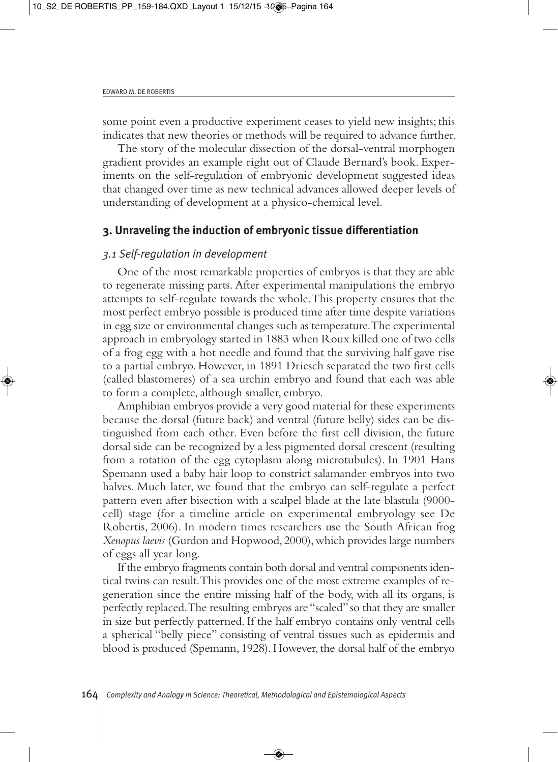some point even a productive experiment ceases to yield new insights; this indicates that new theories or methods will be required to advance further.

The story of the molecular dissection of the dorsal-ventral morphogen gradient provides an example right out of Claude Bernard's book. Experiments on the self-regulation of embryonic development suggested ideas that changed over time as new technical advances allowed deeper levels of understanding of development at a physico-chemical level.

## **3. Unraveling the induction of embryonic tissue differentiation**

#### *3.1 Self-regulation in development*

One of the most remarkable properties of embryos is that they are able to regenerate missing parts. After experimental manipulations the embryo attempts to self-regulate towards the whole. This property ensures that the most perfect embryo possible is produced time after time despite variations in egg size or environmental changes such as temperature. The experimental approach in embryology started in 1883 when Roux killed one of two cells of a frog egg with a hot needle and found that the surviving half gave rise to a partial embryo. However, in 1891 Driesch separated the two first cells (called blastomeres) of a sea urchin embryo and found that each was able to form a complete, although smaller, embryo.

Amphibian embryos provide a very good material for these experiments because the dorsal (future back) and ventral (future belly) sides can be distinguished from each other. Even before the first cell division, the future dorsal side can be recognized by a less pigmented dorsal crescent (resulting from a rotation of the egg cytoplasm along microtubules). In 1901 Hans Spemann used a baby hair loop to constrict salamander embryos into two halves. Much later, we found that the embryo can self-regulate a perfect pattern even after bisection with a scalpel blade at the late blastula (9000 cell) stage (for a timeline article on experimental embryology see De Robertis, 2006). In modern times researchers use the South African frog *Xenopus laevis* (Gurdon and Hopwood, 2000), which provides large numbers of eggs all year long.

If the embryo fragments contain both dorsal and ventral components identical twins can result. This provides one of the most extreme examples of regeneration since the entire missing half of the body, with all its organs, is perfectly replaced. The resulting embryos are "scaled" so that they are smaller in size but perfectly patterned. If the half embryo contains only ventral cells a spherical "belly piece" consisting of ventral tissues such as epidermis and blood is produced (Spemann, 1928). However, the dorsal half of the embryo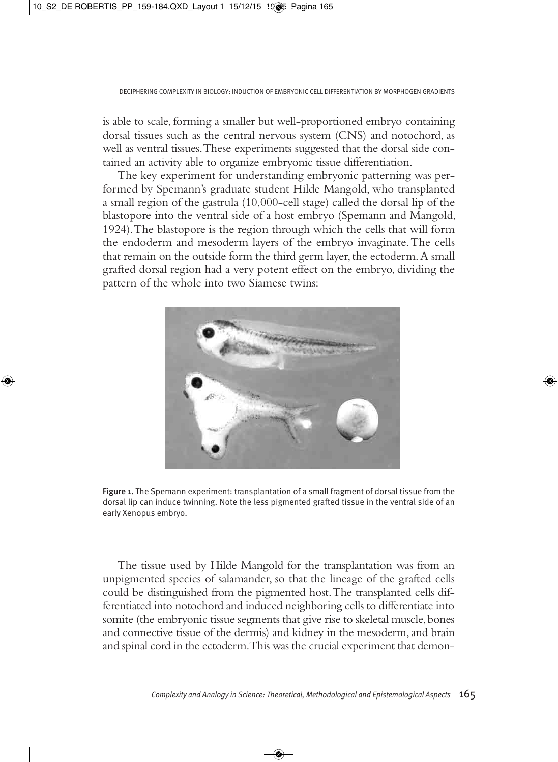is able to scale, forming a smaller but well-proportioned embryo containing dorsal tissues such as the central nervous system (CNS) and notochord, as well as ventral tissues. These experiments suggested that the dorsal side contained an activity able to organize embryonic tissue differentiation.

The key experiment for understanding embryonic patterning was performed by Spemann's graduate student Hilde Mangold, who transplanted a small region of the gastrula (10,000-cell stage) called the dorsal lip of the blastopore into the ventral side of a host embryo (Spemann and Mangold, 1924). The blastopore is the region through which the cells that will form the endoderm and mesoderm layers of the embryo invaginate. The cells that remain on the outside form the third germ layer, the ectoderm. A small grafted dorsal region had a very potent effect on the embryo, dividing the pattern of the whole into two Siamese twins:



Figure 1. The Spemann experiment: transplantation of a small fragment of dorsal tissue from the dorsal lip can induce twinning. Note the less pigmented grafted tissue in the ventral side of an early Xenopus embryo.

The tissue used by Hilde Mangold for the transplantation was from an unpigmented species of salamander, so that the lineage of the grafted cells could be distinguished from the pigmented host. The transplanted cells differentiated into notochord and induced neighboring cells to differentiate into somite (the embryonic tissue segments that give rise to skeletal muscle, bones and connective tissue of the dermis) and kidney in the mesoderm, and brain and spinal cord in the ectoderm. This was the crucial experiment that demon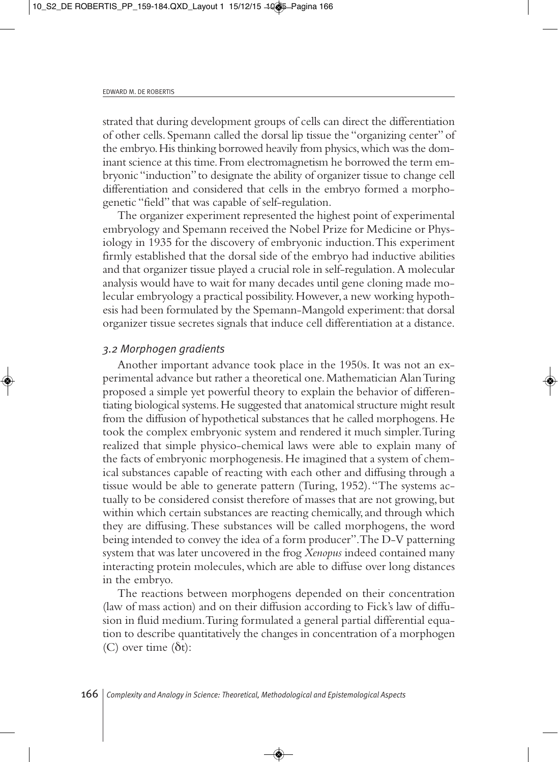strated that during development groups of cells can direct the differentiation of other cells. Spemann called the dorsal lip tissue the "organizing center" of the embryo. His thinking borrowed heavily from physics, which was the dominant science at this time. From electromagnetism he borrowed the term embryonic "induction" to designate the ability of organizer tissue to change cell differentiation and considered that cells in the embryo formed a morphogenetic "field" that was capable of self-regulation.

The organizer experiment represented the highest point of experimental embryology and Spemann received the Nobel Prize for Medicine or Physiology in 1935 for the discovery of embryonic induction. This experiment firmly established that the dorsal side of the embryo had inductive abilities and that organizer tissue played a crucial role in self-regulation. A molecular analysis would have to wait for many decades until gene cloning made molecular embryology a practical possibility. However, a new working hypothesis had been formulated by the Spemann-Mangold experiment: that dorsal organizer tissue secretes signals that induce cell differentiation at a distance.

#### *3.2 Morphogen gradients*

Another important advance took place in the 1950s. It was not an experimental advance but rather a theoretical one. Mathematician Alan Turing proposed a simple yet powerful theory to explain the behavior of differentiating biological systems. He suggested that anatomical structure might result from the diffusion of hypothetical substances that he called morphogens. He took the complex embryonic system and rendered it much simpler. Turing realized that simple physico-chemical laws were able to explain many of the facts of embryonic morphogenesis. He imagined that a system of chemical substances capable of reacting with each other and diffusing through a tissue would be able to generate pattern (Turing, 1952). "The systems actually to be considered consist therefore of masses that are not growing, but within which certain substances are reacting chemically, and through which they are diffusing. These substances will be called morphogens, the word being intended to convey the idea of a form producer". The D-V patterning system that was later uncovered in the frog *Xenopus* indeed contained many interacting protein molecules, which are able to diffuse over long distances in the embryo.

The reactions between morphogens depended on their concentration (law of mass action) and on their diffusion according to Fick's law of diffusion in fluid medium. Turing formulated a general partial differential equation to describe quantitatively the changes in concentration of a morphogen (C) over time  $(\delta t)$ :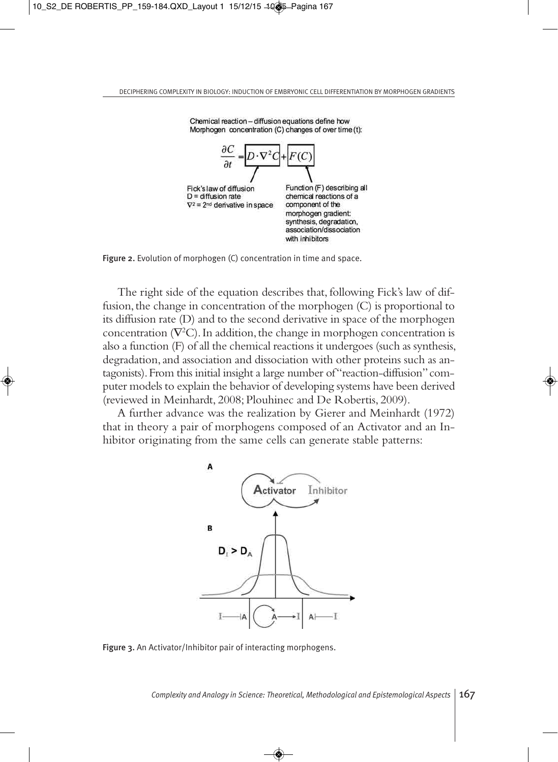

Chemical reaction - diffusion equations define how Morphogen concentration (C) changes of over time (t):



The right side of the equation describes that, following Fick's law of diffusion, the change in concentration of the morphogen (C) is proportional to its diffusion rate (D) and to the second derivative in space of the morphogen concentration ( $\nabla^2$ C). In addition, the change in morphogen concentration is also a function (F) of all the chemical reactions it undergoes (such as synthesis, degradation, and association and dissociation with other proteins such as antagonists). From this initial insight a large number of "reaction-diffusion" computer models to explain the behavior of developing systems have been derived (reviewed in Meinhardt, 2008; Plouhinec and De Robertis, 2009).

A further advance was the realization by Gierer and Meinhardt (1972) that in theory a pair of morphogens composed of an Activator and an Inhibitor originating from the same cells can generate stable patterns:



Figure 3. An Activator/Inhibitor pair of interacting morphogens.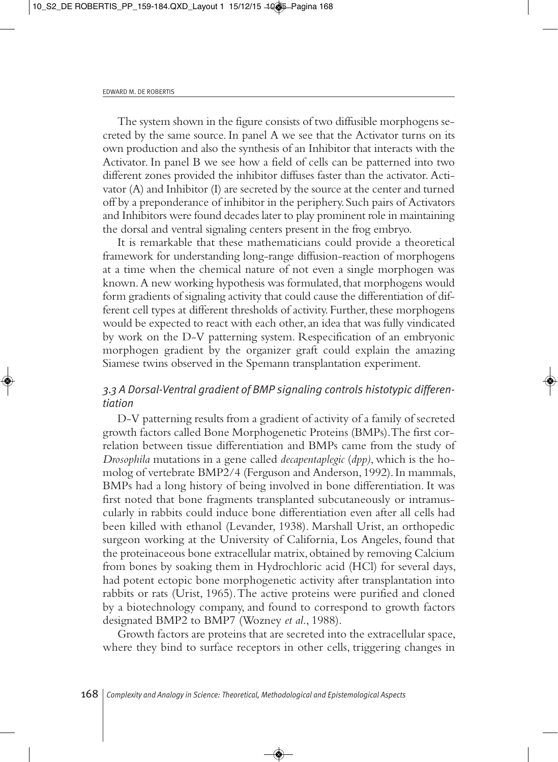The system shown in the figure consists of two diffusible morphogens secreted by the same source. In panel A we see that the Activator turns on its own production and also the synthesis of an Inhibitor that interacts with the Activator. In panel B we see how a field of cells can be patterned into two different zones provided the inhibitor diffuses faster than the activator. Activator (A) and Inhibitor (I) are secreted by the source at the center and turned off by a preponderance of inhibitor in the periphery. Such pairs of Activators and Inhibitors were found decades later to play prominent role in maintaining the dorsal and ventral signaling centers present in the frog embryo.

It is remarkable that these mathematicians could provide a theoretical framework for understanding long-range diffusion-reaction of morphogens at a time when the chemical nature of not even a single morphogen was known. A new working hypothesis was formulated, that morphogens would form gradients of signaling activity that could cause the differentiation of different cell types at different thresholds of activity. Further, these morphogens would be expected to react with each other, an idea that was fully vindicated by work on the D-V patterning system. Respecification of an embryonic morphogen gradient by the organizer graft could explain the amazing Siamese twins observed in the Spemann transplantation experiment.

# *3.3 A Dorsal-Ventral gradient of BMP signaling controls histotypic differentiation*

D-V patterning results from a gradient of activity of a family of secreted growth factors called Bone Morphogenetic Proteins (BMPs). The first correlation between tissue differentiation and BMPs came from the study of *Drosophila* mutations in a gene called *decapentaplegic* (*dpp)*, which is the homolog of vertebrate BMP2/4 (Ferguson and Anderson, 1992). In mammals, BMPs had a long history of being involved in bone differentiation. It was first noted that bone fragments transplanted subcutaneously or intramuscularly in rabbits could induce bone differentiation even after all cells had been killed with ethanol (Levander, 1938). Marshall Urist, an orthopedic surgeon working at the University of California, Los Angeles, found that the proteinaceous bone extracellular matrix, obtained by removing Calcium from bones by soaking them in Hydrochloric acid (HCl) for several days, had potent ectopic bone morphogenetic activity after transplantation into rabbits or rats (Urist, 1965). The active proteins were purified and cloned by a biotechnology company, and found to correspond to growth factors designated BMP2 to BMP7 (Wozney *et al*., 1988).

Growth factors are proteins that are secreted into the extracellular space, where they bind to surface receptors in other cells, triggering changes in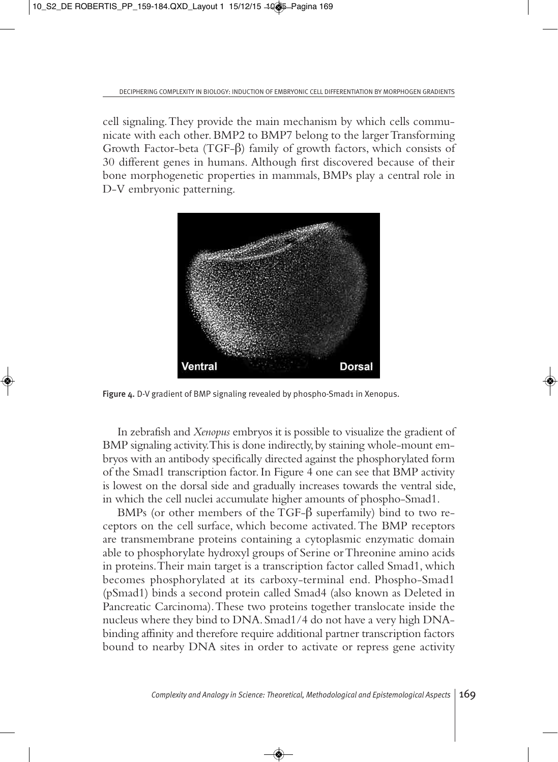cell signaling. They provide the main mechanism by which cells communicate with each other. BMP2 to BMP7 belong to the larger Transforming Growth Factor-beta (TGF-β) family of growth factors, which consists of 30 different genes in humans. Although first discovered because of their bone morphogenetic properties in mammals, BMPs play a central role in D-V embryonic patterning.



Figure 4. D-V gradient of BMP signaling revealed by phospho-Smad1 in Xenopus.

In zebrafish and *Xenopus* embryos it is possible to visualize the gradient of BMP signaling activity. This is done indirectly, by staining whole-mount embryos with an antibody specifically directed against the phosphorylated form of the Smad1 transcription factor. In Figure 4 one can see that BMP activity is lowest on the dorsal side and gradually increases towards the ventral side, in which the cell nuclei accumulate higher amounts of phospho-Smad1.

BMPs (or other members of the TGF-β superfamily) bind to two receptors on the cell surface, which become activated. The BMP receptors are transmembrane proteins containing a cytoplasmic enzymatic domain able to phosphorylate hydroxyl groups of Serine or Threonine amino acids in proteins. Their main target is a transcription factor called Smad1, which becomes phosphorylated at its carboxy-terminal end. Phospho-Smad1 (pSmad1) binds a second protein called Smad4 (also known as Deleted in Pancreatic Carcinoma). These two proteins together translocate inside the nucleus where they bind to DNA. Smad1/4 do not have a very high DNAbinding affinity and therefore require additional partner transcription factors bound to nearby DNA sites in order to activate or repress gene activity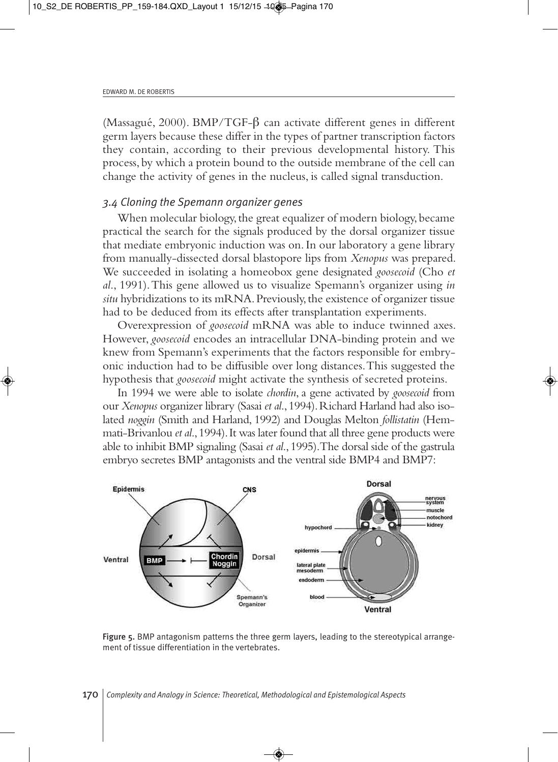(Massagué, 2000). BMP/TGF-β can activate different genes in different germ layers because these differ in the types of partner transcription factors they contain, according to their previous developmental history. This process, by which a protein bound to the outside membrane of the cell can change the activity of genes in the nucleus, is called signal transduction.

#### *3.4 Cloning the Spemann organizer genes*

When molecular biology, the great equalizer of modern biology, became practical the search for the signals produced by the dorsal organizer tissue that mediate embryonic induction was on. In our laboratory a gene library from manually-dissected dorsal blastopore lips from *Xenopus* was prepared. We succeeded in isolating a homeobox gene designated *goosecoid* (Cho *et al*., 1991). This gene allowed us to visualize Spemann's organizer using *in situ* hybridizations to its mRNA. Previously, the existence of organizer tissue had to be deduced from its effects after transplantation experiments.

Overexpression of *goosecoid* mRNA was able to induce twinned axes. However, *goosecoid* encodes an intracellular DNA-binding protein and we knew from Spemann's experiments that the factors responsible for embryonic induction had to be diffusible over long distances. This suggested the hypothesis that *goosecoid* might activate the synthesis of secreted proteins.

In 1994 we were able to isolate *chordin*, a gene activated by *goosecoid* from our *Xenopus* organizer library (Sasai *et al*., 1994). Richard Harland had also isolated *noggin* (Smith and Harland, 1992) and Douglas Melton *follistatin* (Hemmati-Brivanlou *et al*., 1994). It was later found that all three gene products were able to inhibit BMP signaling (Sasai *et al*., 1995). The dorsal side of the gastrula embryo secretes BMP antagonists and the ventral side BMP4 and BMP7:



Figure 5. BMP antagonism patterns the three germ layers, leading to the stereotypical arrangement of tissue differentiation in the vertebrates.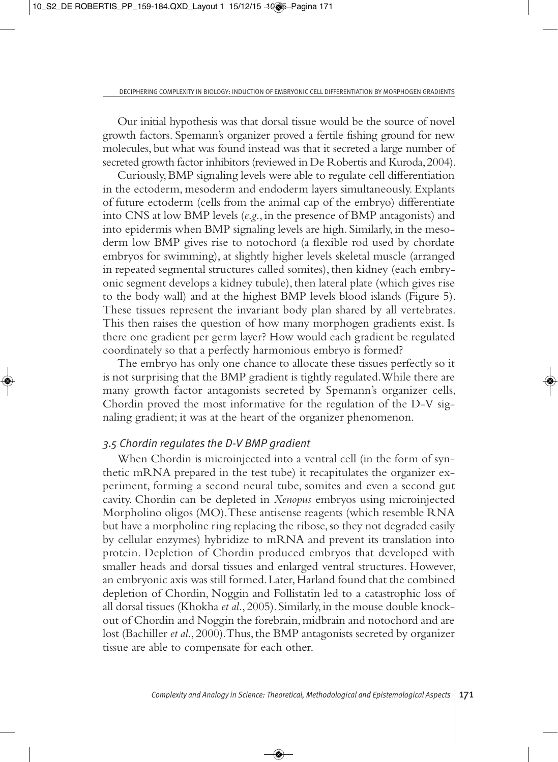Our initial hypothesis was that dorsal tissue would be the source of novel growth factors. Spemann's organizer proved a fertile fishing ground for new molecules, but what was found instead was that it secreted a large number of secreted growth factor inhibitors (reviewed in De Robertis and Kuroda, 2004).

Curiously, BMP signaling levels were able to regulate cell differentiation in the ectoderm, mesoderm and endoderm layers simultaneously. Explants of future ectoderm (cells from the animal cap of the embryo) differentiate into CNS at low BMP levels (*e*.*g*., in the presence of BMP antagonists) and into epidermis when BMP signaling levels are high. Similarly, in the mesoderm low BMP gives rise to notochord (a flexible rod used by chordate embryos for swimming), at slightly higher levels skeletal muscle (arranged in repeated segmental structures called somites), then kidney (each embryonic segment develops a kidney tubule), then lateral plate (which gives rise to the body wall) and at the highest BMP levels blood islands (Figure 5). These tissues represent the invariant body plan shared by all vertebrates. This then raises the question of how many morphogen gradients exist. Is there one gradient per germ layer? How would each gradient be regulated coordinately so that a perfectly harmonious embryo is formed?

The embryo has only one chance to allocate these tissues perfectly so it is not surprising that the BMP gradient is tightly regulated. While there are many growth factor antagonists secreted by Spemann's organizer cells, Chordin proved the most informative for the regulation of the D-V signaling gradient; it was at the heart of the organizer phenomenon.

#### *3.5 Chordin regulates the D-V BMP gradient*

When Chordin is microinjected into a ventral cell (in the form of synthetic mRNA prepared in the test tube) it recapitulates the organizer experiment, forming a second neural tube, somites and even a second gut cavity. Chordin can be depleted in *Xenopus* embryos using microinjected Morpholino oligos (MO). These antisense reagents (which resemble RNA but have a morpholine ring replacing the ribose, so they not degraded easily by cellular enzymes) hybridize to mRNA and prevent its translation into protein. Depletion of Chordin produced embryos that developed with smaller heads and dorsal tissues and enlarged ventral structures. However, an embryonic axis was still formed. Later, Harland found that the combined depletion of Chordin, Noggin and Follistatin led to a catastrophic loss of all dorsal tissues (Khokha *et al.*, 2005). Similarly, in the mouse double knockout of Chordin and Noggin the forebrain, midbrain and notochord and are lost (Bachiller *et al*., 2000). Thus, the BMP antagonists secreted by organizer tissue are able to compensate for each other.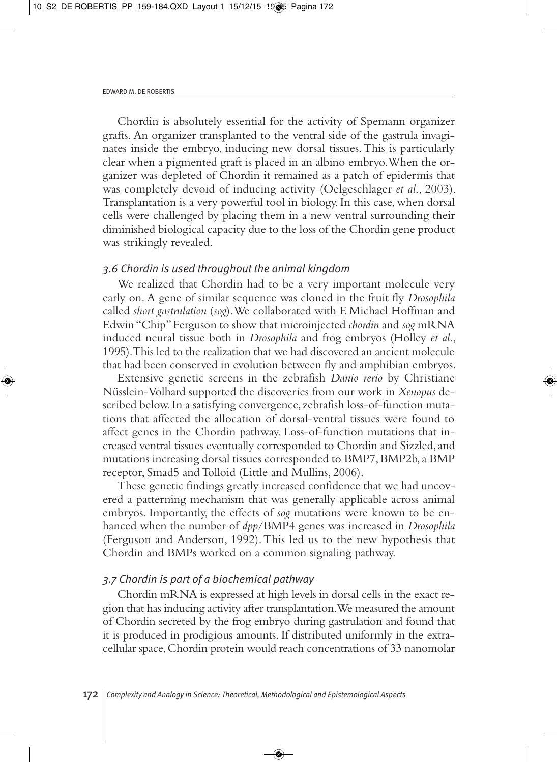Chordin is absolutely essential for the activity of Spemann organizer grafts. An organizer transplanted to the ventral side of the gastrula invaginates inside the embryo, inducing new dorsal tissues. This is particularly clear when a pigmented graft is placed in an albino embryo. When the organizer was depleted of Chordin it remained as a patch of epidermis that was completely devoid of inducing activity (Oelgeschlager *et al*., 2003). Transplantation is a very powerful tool in biology. In this case, when dorsal cells were challenged by placing them in a new ventral surrounding their diminished biological capacity due to the loss of the Chordin gene product was strikingly revealed.

#### *3.6 Chordin is used throughout the animal kingdom*

We realized that Chordin had to be a very important molecule very early on. A gene of similar sequence was cloned in the fruit fly *Drosophila* called *short gastrulation* (*sog*). We collaborated with F. Michael Hoffman and Edwin "Chip" Ferguson to show that microinjected *chordin* and *sog* mRNA induced neural tissue both in *Drosophila* and frog embryos (Holley *et al*., 1995). This led to the realization that we had discovered an ancient molecule that had been conserved in evolution between fly and amphibian embryos.

Extensive genetic screens in the zebrafish *Danio rerio* by Christiane Nüsslein-Volhard supported the discoveries from our work in *Xenopus* described below. In a satisfying convergence, zebrafish loss-of-function mutations that affected the allocation of dorsal-ventral tissues were found to affect genes in the Chordin pathway. Loss-of-function mutations that increased ventral tissues eventually corresponded to Chordin and Sizzled, and mutations increasing dorsal tissues corresponded to BMP7, BMP2b, a BMP receptor, Smad5 and Tolloid (Little and Mullins, 2006).

These genetic findings greatly increased confidence that we had uncovered a patterning mechanism that was generally applicable across animal embryos. Importantly, the effects of *sog* mutations were known to be enhanced when the number of *dpp*/BMP4 genes was increased in *Drosophila* (Ferguson and Anderson, 1992). This led us to the new hypothesis that Chordin and BMPs worked on a common signaling pathway.

#### *3.7 Chordin is part of a biochemical pathway*

Chordin mRNA is expressed at high levels in dorsal cells in the exact region that has inducing activity after transplantation. We measured the amount of Chordin secreted by the frog embryo during gastrulation and found that it is produced in prodigious amounts. If distributed uniformly in the extracellular space, Chordin protein would reach concentrations of 33 nanomolar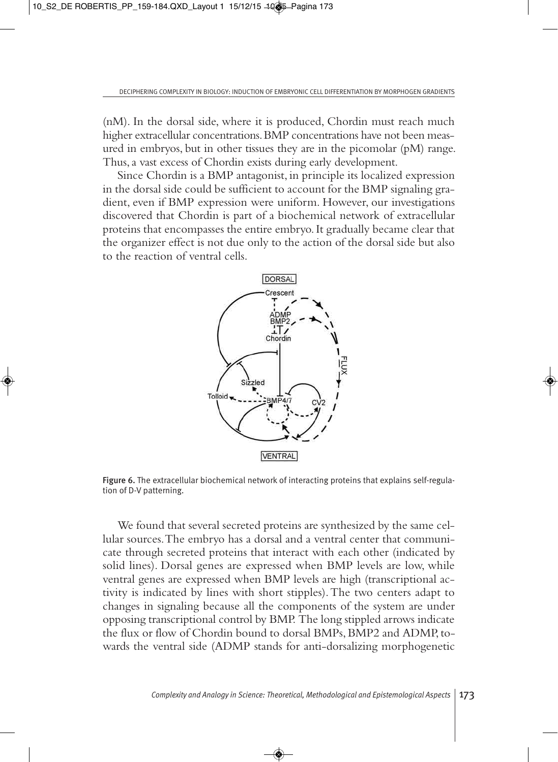(nM). In the dorsal side, where it is produced, Chordin must reach much higher extracellular concentrations. BMP concentrations have not been measured in embryos, but in other tissues they are in the picomolar (pM) range. Thus, a vast excess of Chordin exists during early development.

Since Chordin is a BMP antagonist, in principle its localized expression in the dorsal side could be sufficient to account for the BMP signaling gradient, even if BMP expression were uniform. However, our investigations discovered that Chordin is part of a biochemical network of extracellular proteins that encompasses the entire embryo. It gradually became clear that the organizer effect is not due only to the action of the dorsal side but also to the reaction of ventral cells.



Figure 6. The extracellular biochemical network of interacting proteins that explains self-regulation of D-V patterning.

We found that several secreted proteins are synthesized by the same cellular sources. The embryo has a dorsal and a ventral center that communicate through secreted proteins that interact with each other (indicated by solid lines). Dorsal genes are expressed when BMP levels are low, while ventral genes are expressed when BMP levels are high (transcriptional activity is indicated by lines with short stipples). The two centers adapt to changes in signaling because all the components of the system are under opposing transcriptional control by BMP. The long stippled arrows indicate the flux or flow of Chordin bound to dorsal BMPs, BMP2 and ADMP, towards the ventral side (ADMP stands for anti-dorsalizing morphogenetic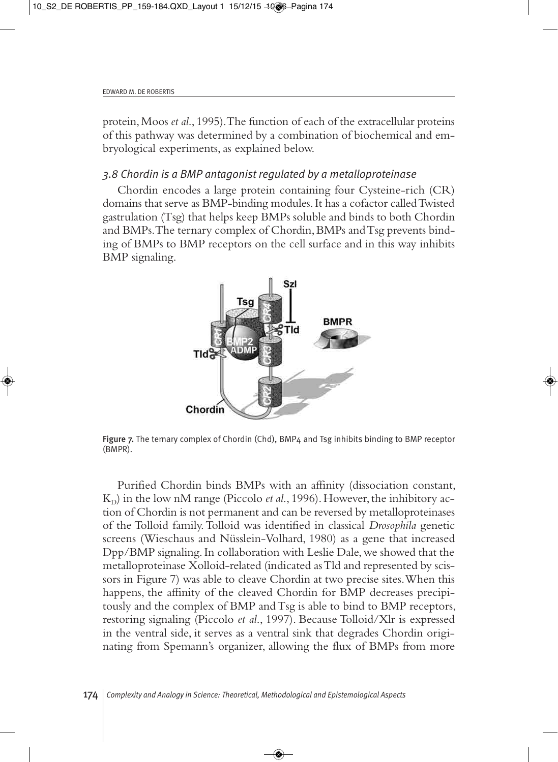protein, Moos *et al*., 1995). The function of each of the extracellular proteins of this pathway was determined by a combination of biochemical and embryological experiments, as explained below.

## *3.8 Chordin is a BMP antagonist regulated by a metalloproteinase*

Chordin encodes a large protein containing four Cysteine-rich (CR) domains that serve as BMP-binding modules. It has a cofactor called Twisted gastrulation (Tsg) that helps keep BMPs soluble and binds to both Chordin and BMPs. The ternary complex of Chordin, BMPs and Tsg prevents binding of BMPs to BMP receptors on the cell surface and in this way inhibits BMP signaling.



Figure 7. The ternary complex of Chordin (Chd), BMP4 and Tsg inhibits binding to BMP receptor (BMPR).

Purified Chordin binds BMPs with an affinity (dissociation constant,  $K_D$ ) in the low nM range (Piccolo *et al.*, 1996). However, the inhibitory action of Chordin is not permanent and can be reversed by metalloproteinases of the Tolloid family. Tolloid was identified in classical *Drosophila* genetic screens (Wieschaus and Nüsslein-Volhard, 1980) as a gene that increased Dpp/BMP signaling. In collaboration with Leslie Dale, we showed that the metalloproteinase Xolloid-related (indicated as Tld and represented by scissors in Figure 7) was able to cleave Chordin at two precise sites. When this happens, the affinity of the cleaved Chordin for BMP decreases precipitously and the complex of BMP and Tsg is able to bind to BMP receptors, restoring signaling (Piccolo *et al*., 1997). Because Tolloid/Xlr is expressed in the ventral side, it serves as a ventral sink that degrades Chordin originating from Spemann's organizer, allowing the flux of BMPs from more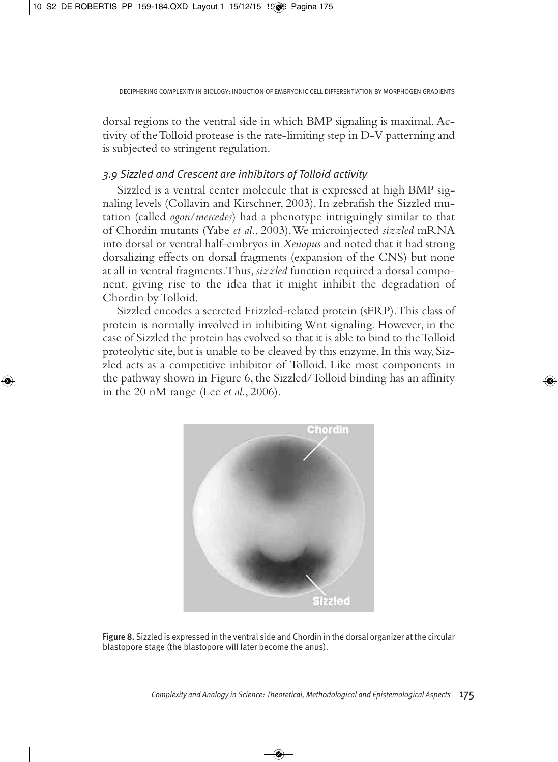dorsal regions to the ventral side in which BMP signaling is maximal. Activity of the Tolloid protease is the rate-limiting step in D-V patterning and is subjected to stringent regulation.

# *3.9 Sizzled and Crescent are inhibitors of Tolloid activity*

Sizzled is a ventral center molecule that is expressed at high BMP signaling levels (Collavin and Kirschner, 2003). In zebrafish the Sizzled mutation (called *ogon*/*mercedes*) had a phenotype intriguingly similar to that of Chordin mutants (Yabe *et al*., 2003). We microinjected *sizzled* mRNA into dorsal or ventral half-embryos in *Xenopus* and noted that it had strong dorsalizing effects on dorsal fragments (expansion of the CNS) but none at all in ventral fragments. Thus, *sizzled* function required a dorsal component, giving rise to the idea that it might inhibit the degradation of Chordin by Tolloid.

Sizzled encodes a secreted Frizzled-related protein (sFRP). This class of protein is normally involved in inhibiting Wnt signaling. However, in the case of Sizzled the protein has evolved so that it is able to bind to the Tolloid proteolytic site, but is unable to be cleaved by this enzyme. In this way, Sizzled acts as a competitive inhibitor of Tolloid. Like most components in the pathway shown in Figure 6, the Sizzled/Tolloid binding has an affinity in the 20 nM range (Lee *et al*., 2006).



Figure 8. Sizzled is expressed in the ventral side and Chordin in the dorsal organizer at the circular blastopore stage (the blastopore will later become the anus).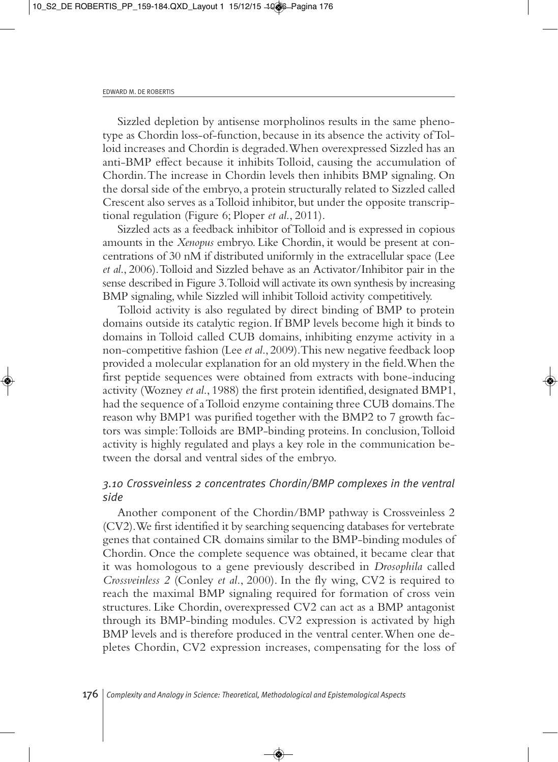Sizzled depletion by antisense morpholinos results in the same phenotype as Chordin loss-of-function, because in its absence the activity of Tolloid increases and Chordin is degraded. When overexpressed Sizzled has an anti-BMP effect because it inhibits Tolloid, causing the accumulation of Chordin. The increase in Chordin levels then inhibits BMP signaling. On the dorsal side of the embryo, a protein structurally related to Sizzled called Crescent also serves as a Tolloid inhibitor, but under the opposite transcriptional regulation (Figure 6; Ploper *et al*., 2011).

Sizzled acts as a feedback inhibitor of Tolloid and is expressed in copious amounts in the *Xenopus* embryo. Like Chordin, it would be present at concentrations of 30 nM if distributed uniformly in the extracellular space (Lee *et al*., 2006). Tolloid and Sizzled behave as an Activator/Inhibitor pair in the sense described in Figure 3. Tolloid will activate its own synthesis by increasing BMP signaling, while Sizzled will inhibit Tolloid activity competitively.

Tolloid activity is also regulated by direct binding of BMP to protein domains outside its catalytic region. If BMP levels become high it binds to domains in Tolloid called CUB domains, inhibiting enzyme activity in a non-competitive fashion (Lee *et al*., 2009). This new negative feedback loop provided a molecular explanation for an old mystery in the field. When the first peptide sequences were obtained from extracts with bone-inducing activity (Wozney *et al*., 1988) the first protein identified, designated BMP1, had the sequence of a Tolloid enzyme containing three CUB domains. The reason why BMP1 was purified together with the BMP2 to 7 growth factors was simple: Tolloids are BMP-binding proteins. In conclusion, Tolloid activity is highly regulated and plays a key role in the communication between the dorsal and ventral sides of the embryo.

## *3.10 Crossveinless 2 concentrates Chordin/BMP complexes in the ventral side*

Another component of the Chordin/BMP pathway is Crossveinless 2 (CV2). We first identified it by searching sequencing databases for vertebrate genes that contained CR domains similar to the BMP-binding modules of Chordin. Once the complete sequence was obtained, it became clear that it was homologous to a gene previously described in *Drosophila* called *Crossveinless 2* (Conley *et al*., 2000). In the fly wing, CV2 is required to reach the maximal BMP signaling required for formation of cross vein structures. Like Chordin, overexpressed CV2 can act as a BMP antagonist through its BMP-binding modules. CV2 expression is activated by high BMP levels and is therefore produced in the ventral center. When one depletes Chordin, CV2 expression increases, compensating for the loss of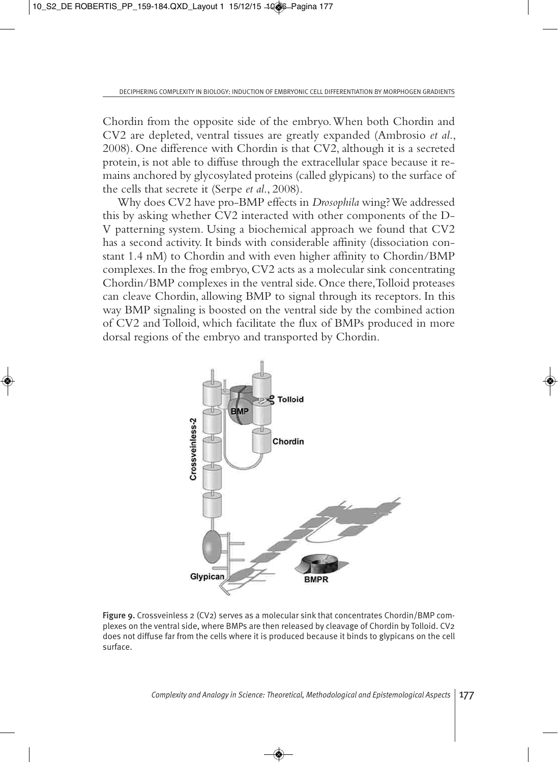Chordin from the opposite side of the embryo. When both Chordin and CV2 are depleted, ventral tissues are greatly expanded (Ambrosio *et al*., 2008). One difference with Chordin is that CV2, although it is a secreted protein, is not able to diffuse through the extracellular space because it remains anchored by glycosylated proteins (called glypicans) to the surface of the cells that secrete it (Serpe *et al*., 2008).

Why does CV2 have pro-BMP effects in *Drosophila* wing? We addressed this by asking whether CV2 interacted with other components of the D-V patterning system. Using a biochemical approach we found that CV2 has a second activity. It binds with considerable affinity (dissociation constant 1.4 nM) to Chordin and with even higher affinity to Chordin/BMP complexes. In the frog embryo, CV2 acts as a molecular sink concentrating Chordin/BMP complexes in the ventral side. Once there, Tolloid proteases can cleave Chordin, allowing BMP to signal through its receptors. In this way BMP signaling is boosted on the ventral side by the combined action of CV2 and Tolloid, which facilitate the flux of BMPs produced in more dorsal regions of the embryo and transported by Chordin.



Figure 9. Crossveinless 2 (CV2) serves as a molecular sink that concentrates Chordin/BMP complexes on the ventral side, where BMPs are then released by cleavage of Chordin by Tolloid. CV2 does not diffuse far from the cells where it is produced because it binds to glypicans on the cell surface.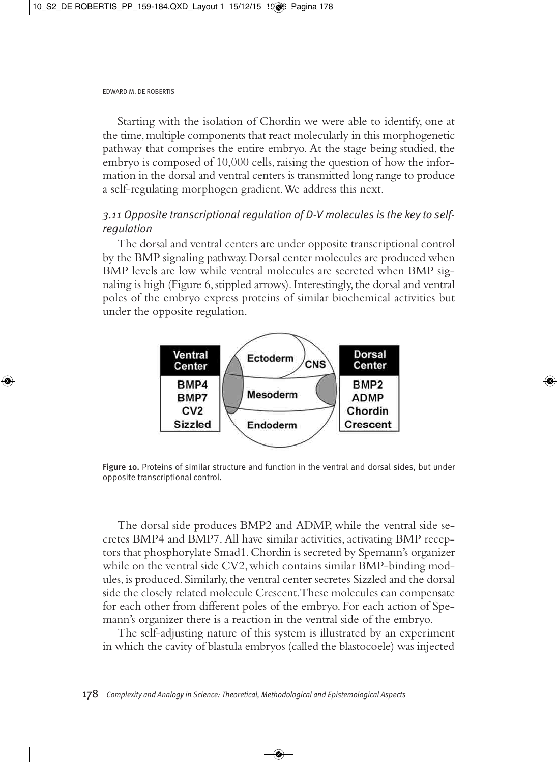Starting with the isolation of Chordin we were able to identify, one at the time, multiple components that react molecularly in this morphogenetic pathway that comprises the entire embryo. At the stage being studied, the embryo is composed of 10,000 cells, raising the question of how the information in the dorsal and ventral centers is transmitted long range to produce a self-regulating morphogen gradient. We address this next.

# *3.11 Opposite transcriptional regulation of D-V molecules is the key to selfregulation*

The dorsal and ventral centers are under opposite transcriptional control by the BMP signaling pathway. Dorsal center molecules are produced when BMP levels are low while ventral molecules are secreted when BMP signaling is high (Figure 6, stippled arrows). Interestingly, the dorsal and ventral poles of the embryo express proteins of similar biochemical activities but under the opposite regulation.



Figure 10. Proteins of similar structure and function in the ventral and dorsal sides, but under opposite transcriptional control.

The dorsal side produces BMP2 and ADMP, while the ventral side secretes BMP4 and BMP7. All have similar activities, activating BMP receptors that phosphorylate Smad1. Chordin is secreted by Spemann's organizer while on the ventral side CV2, which contains similar BMP-binding modules, is produced. Similarly, the ventral center secretes Sizzled and the dorsal side the closely related molecule Crescent. These molecules can compensate for each other from different poles of the embryo. For each action of Spemann's organizer there is a reaction in the ventral side of the embryo.

The self-adjusting nature of this system is illustrated by an experiment in which the cavity of blastula embryos (called the blastocoele) was injected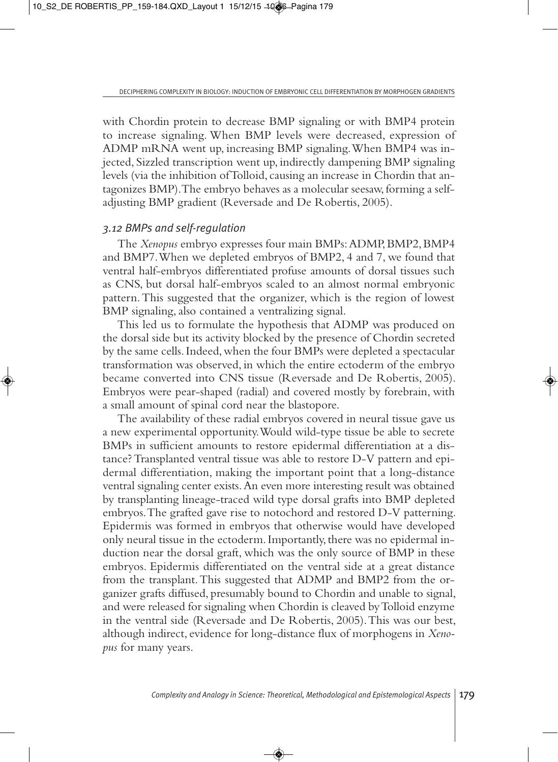with Chordin protein to decrease BMP signaling or with BMP4 protein to increase signaling. When BMP levels were decreased, expression of ADMP mRNA went up, increasing BMP signaling. When BMP4 was injected, Sizzled transcription went up, indirectly dampening BMP signaling levels (via the inhibition of Tolloid, causing an increase in Chordin that antagonizes BMP). The embryo behaves as a molecular seesaw, forming a selfadjusting BMP gradient (Reversade and De Robertis, 2005).

#### *3.12 BMPs and self-regulation*

The *Xenopus* embryo expresses four main BMPs: ADMP, BMP2, BMP4 and BMP7. When we depleted embryos of BMP2, 4 and 7, we found that ventral half-embryos differentiated profuse amounts of dorsal tissues such as CNS, but dorsal half-embryos scaled to an almost normal embryonic pattern. This suggested that the organizer, which is the region of lowest BMP signaling, also contained a ventralizing signal.

This led us to formulate the hypothesis that ADMP was produced on the dorsal side but its activity blocked by the presence of Chordin secreted by the same cells. Indeed, when the four BMPs were depleted a spectacular transformation was observed, in which the entire ectoderm of the embryo became converted into CNS tissue (Reversade and De Robertis, 2005). Embryos were pear-shaped (radial) and covered mostly by forebrain, with a small amount of spinal cord near the blastopore.

The availability of these radial embryos covered in neural tissue gave us a new experimental opportunity. Would wild-type tissue be able to secrete BMPs in sufficient amounts to restore epidermal differentiation at a distance? Transplanted ventral tissue was able to restore D-V pattern and epidermal differentiation, making the important point that a long-distance ventral signaling center exists. An even more interesting result was obtained by transplanting lineage-traced wild type dorsal grafts into BMP depleted embryos. The grafted gave rise to notochord and restored D-V patterning. Epidermis was formed in embryos that otherwise would have developed only neural tissue in the ectoderm. Importantly, there was no epidermal induction near the dorsal graft, which was the only source of BMP in these embryos. Epidermis differentiated on the ventral side at a great distance from the transplant. This suggested that ADMP and BMP2 from the organizer grafts diffused, presumably bound to Chordin and unable to signal, and were released for signaling when Chordin is cleaved by Tolloid enzyme in the ventral side (Reversade and De Robertis, 2005). This was our best, although indirect, evidence for long-distance flux of morphogens in *Xenopus* for many years.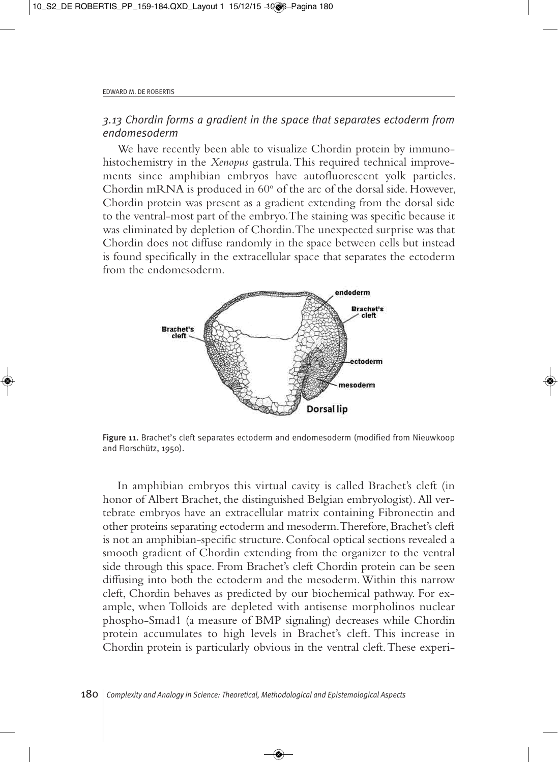## *3.13 Chordin forms a gradient in the space that separates ectoderm from endomesoderm*

We have recently been able to visualize Chordin protein by immunohistochemistry in the *Xenopus* gastrula. This required technical improvements since amphibian embryos have autofluorescent yolk particles. Chordin mRNA is produced in  $60^{\circ}$  of the arc of the dorsal side. However, Chordin protein was present as a gradient extending from the dorsal side to the ventral-most part of the embryo. The staining was specific because it was eliminated by depletion of Chordin. The unexpected surprise was that Chordin does not diffuse randomly in the space between cells but instead is found specifically in the extracellular space that separates the ectoderm from the endomesoderm.



Figure 11. Brachet's cleft separates ectoderm and endomesoderm (modified from Nieuwkoop and Florschütz, 1950).

In amphibian embryos this virtual cavity is called Brachet's cleft (in honor of Albert Brachet, the distinguished Belgian embryologist). All vertebrate embryos have an extracellular matrix containing Fibronectin and other proteins separating ectoderm and mesoderm. Therefore, Brachet's cleft is not an amphibian-specific structure. Confocal optical sections revealed a smooth gradient of Chordin extending from the organizer to the ventral side through this space. From Brachet's cleft Chordin protein can be seen diffusing into both the ectoderm and the mesoderm. Within this narrow cleft, Chordin behaves as predicted by our biochemical pathway. For example, when Tolloids are depleted with antisense morpholinos nuclear phospho-Smad1 (a measure of BMP signaling) decreases while Chordin protein accumulates to high levels in Brachet's cleft. This increase in Chordin protein is particularly obvious in the ventral cleft. These experi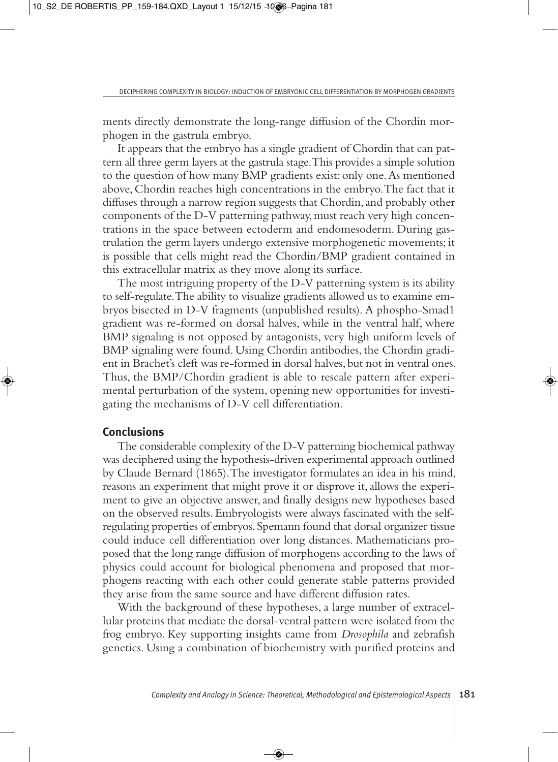ments directly demonstrate the long-range diffusion of the Chordin morphogen in the gastrula embryo.

It appears that the embryo has a single gradient of Chordin that can pattern all three germ layers at the gastrula stage. This provides a simple solution to the question of how many BMP gradients exist: only one. As mentioned above, Chordin reaches high concentrations in the embryo. The fact that it diffuses through a narrow region suggests that Chordin, and probably other components of the D-V patterning pathway, must reach very high concentrations in the space between ectoderm and endomesoderm. During gastrulation the germ layers undergo extensive morphogenetic movements; it is possible that cells might read the Chordin/BMP gradient contained in this extracellular matrix as they move along its surface.

The most intriguing property of the D-V patterning system is its ability to self-regulate. The ability to visualize gradients allowed us to examine embryos bisected in D-V fragments (unpublished results). A phospho-Smad1 gradient was re-formed on dorsal halves, while in the ventral half, where BMP signaling is not opposed by antagonists, very high uniform levels of BMP signaling were found. Using Chordin antibodies, the Chordin gradient in Brachet's cleft was re-formed in dorsal halves, but not in ventral ones. Thus, the BMP/Chordin gradient is able to rescale pattern after experimental perturbation of the system, opening new opportunities for investigating the mechanisms of D-V cell differentiation.

#### **Conclusions**

The considerable complexity of the D-V patterning biochemical pathway was deciphered using the hypothesis-driven experimental approach outlined by Claude Bernard (1865). The investigator formulates an idea in his mind, reasons an experiment that might prove it or disprove it, allows the experiment to give an objective answer, and finally designs new hypotheses based on the observed results. Embryologists were always fascinated with the selfregulating properties of embryos. Spemann found that dorsal organizer tissue could induce cell differentiation over long distances. Mathematicians proposed that the long range diffusion of morphogens according to the laws of physics could account for biological phenomena and proposed that morphogens reacting with each other could generate stable patterns provided they arise from the same source and have different diffusion rates.

With the background of these hypotheses, a large number of extracellular proteins that mediate the dorsal-ventral pattern were isolated from the frog embryo. Key supporting insights came from *Drosophila* and zebrafish genetics. Using a combination of biochemistry with purified proteins and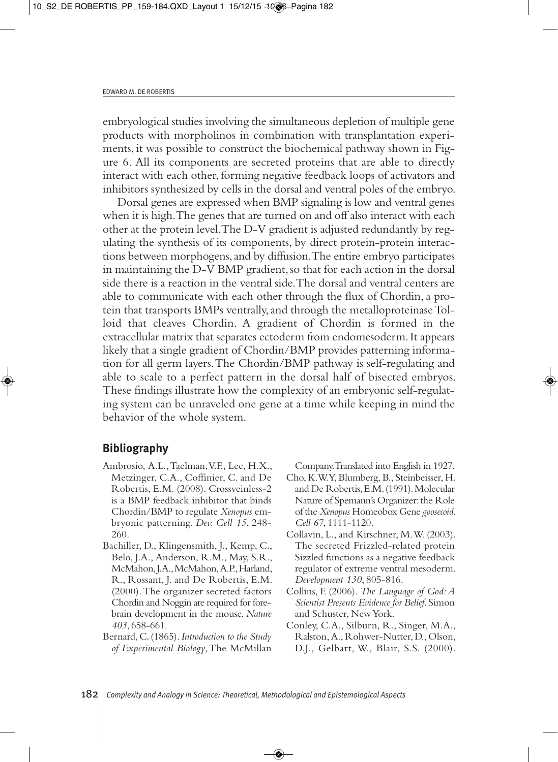embryological studies involving the simultaneous depletion of multiple gene products with morpholinos in combination with transplantation experiments, it was possible to construct the biochemical pathway shown in Figure 6. All its components are secreted proteins that are able to directly interact with each other, forming negative feedback loops of activators and inhibitors synthesized by cells in the dorsal and ventral poles of the embryo.

Dorsal genes are expressed when BMP signaling is low and ventral genes when it is high. The genes that are turned on and off also interact with each other at the protein level. The D-V gradient is adjusted redundantly by regulating the synthesis of its components, by direct protein-protein interactions between morphogens, and by diffusion. The entire embryo participates in maintaining the D-V BMP gradient, so that for each action in the dorsal side there is a reaction in the ventral side. The dorsal and ventral centers are able to communicate with each other through the flux of Chordin, a protein that transports BMPs ventrally, and through the metalloproteinase Tolloid that cleaves Chordin. A gradient of Chordin is formed in the extracellular matrix that separates ectoderm from endomesoderm. It appears likely that a single gradient of Chordin/BMP provides patterning information for all germ layers. The Chordin/BMP pathway is self-regulating and able to scale to a perfect pattern in the dorsal half of bisected embryos. These findings illustrate how the complexity of an embryonic self-regulating system can be unraveled one gene at a time while keeping in mind the behavior of the whole system.

# **Bibliography**

- Ambrosio, A.L., Taelman, V.F., Lee, H.X., Metzinger, C.A., Coffinier, C. and De Robertis, E.M. (2008). Crossveinless-2 is a BMP feedback inhibitor that binds Chordin/BMP to regulate *Xenopus* embryonic patterning. *Dev. Cell 15*, 248- 260.
- Bachiller, D., Klingensmith, J., Kemp, C., Belo, J.A., Anderson, R.M., May, S.R., McMahon, J.A., McMahon, A.P., Harland, R., Rossant, J. and De Robertis, E.M. (2000). The organizer secreted factors Chordin and Noggin are required for forebrain development in the mouse. *Nature 403*, 658-661.
- Bernard, C. (1865). *Introduction to the Study of Experimental Biology*, The McMillan

Company. Translated into English in 1927.

- Cho, K.W.Y, Blumberg, B., Steinbeisser, H. and De Robertis, E.M. (1991). Molecular Nature of Spemann's Organizer: the Role of the *Xenopus* Homeobox Gene *goosecoid*. *Cell 67*, 1111-1120.
- Collavin, L., and Kirschner, M. W. (2003). The secreted Frizzled-related protein Sizzled functions as a negative feedback regulator of extreme ventral mesoderm. *Development 130*, 805-816.
- Collins, F. (2006). *The Language of God: A Scientist Presents Evidence for Belief*. Simon and Schuster, New York.
- Conley, C.A., Silburn, R., Singer, M.A., Ralston, A., Rohwer-Nutter, D., Olson, D.J., Gelbart, W., Blair, S.S. (2000).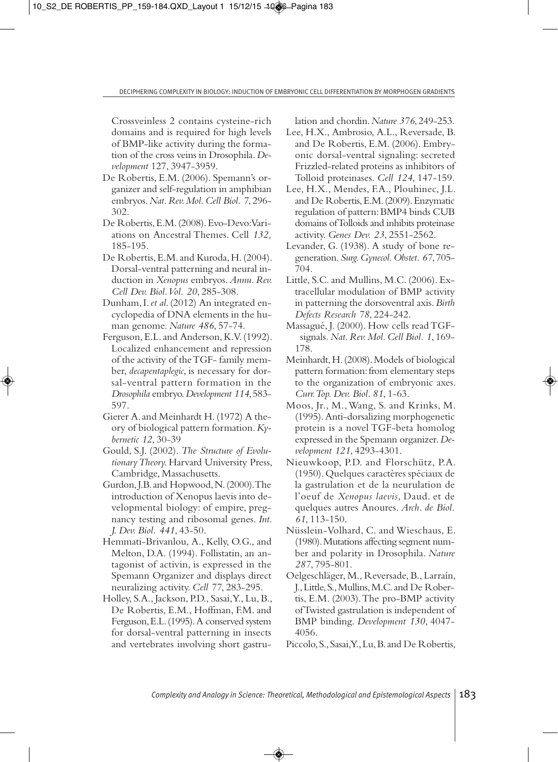Crossveinless 2 contains cysteine-rich domains and is required for high levels of BMP-like activity during the formation of the cross veins in Drosophila. *Development* 127, 3947-3959.

- De Robertis, E.M. (2006). Spemann's organizer and self-regulation in amphibian embryos. *Nat. Rev. Mol. Cell Biol. 7*, 296- 302.
- De Robertis, E.M. (2008). Evo-Devo: Variations on Ancestral Themes. Cell *132,* 185-195*.*
- De Robertis, E.M. and Kuroda, H. (2004). Dorsal-ventral patterning and neural induction in *Xenopus* embryos. *Annu. Rev. Cell Dev. Biol. Vol. 20*, 285-308.
- Dunham, I. *et al*. (2012) An integrated encyclopedia of DNA elements in the human genome. *Nature 486*, 57-74.
- Ferguson, E.L. and Anderson, K.V. (1992). Localized enhancement and repression of the activity of the TGF- family member, *decapentaplegic*, is necessary for dorsal-ventral pattern formation in the *Drosophila* embryo. *Development 114*, 583- 597.
- Gierer A. and Meinhardt H. (1972) A theory of biological pattern formation. *Kybernetic 12*, 30-39
- Gould, S.J. (2002). *The Structure of Evolutionary Theory.* Harvard University Press, Cambridge, Massachusetts.
- Gurdon, J.B. and Hopwood, N. (2000). The introduction of Xenopus laevis into developmental biology: of empire, pregnancy testing and ribosomal genes. *Int. J. Dev. Biol. 441*, 43-50.
- Hemmati-Brivanlou, A., Kelly, O.G., and Melton, D.A. (1994). Follistatin, an antagonist of activin, is expressed in the Spemann Organizer and displays direct neuralizing activity. *Cell 77*, 283-295.
- Holley, S.A., Jackson, P.D., Sasai, Y., Lu, B., De Robertis, E.M., Hoffman, F.M. and Ferguson, E.L. (1995). A conserved system for dorsal-ventral patterning in insects and vertebrates involving short gastru-

lation and chordin. *Nature 376*, 249-253.

- Lee, H.X., Ambrosio, A.L., Reversade, B. and De Robertis, E.M. (2006). Embryonic dorsal-ventral signaling: secreted Frizzled-related proteins as inhibitors of Tolloid proteinases. *Cell 124*, 147-159.
- Lee, H.X., Mendes, F.A., Plouhinec, J.L. and De Robertis, E.M. (2009). Enzymatic regulation of pattern: BMP4 binds CUB domains of Tolloids and inhibits proteinase activity. *Genes Dev. 23*, 2551-2562.
- Levander, G. (1938). A study of bone regeneration. *Surg. Gynecol. Obstet. 67*, 705- 704.
- Little, S.C. and Mullins, M.C. (2006). Extracellular modulation of BMP activity in patterning the dorsoventral axis. *Birth Defects Research 78*, 224-242.
- Massagué, J. (2000). How cells read TGF signals*. Nat. Rev. Mol. Cell Biol. 1*, 169- 178.
- Meinhardt, H. (2008). Models of biological pattern formation: from elementary steps to the organization of embryonic axes. *Curr. Top. Dev. Biol. 81*, 1-63.
- Moos, Jr., M., Wang, S. and Krinks, M. (1995). Anti-dorsalizing morphogenetic protein is a novel TGF-beta homolog expressed in the Spemann organizer. *Development 121*, 4293-4301.
- Nieuwkoop, P.D. and Florschütz, P.A. (1950). Quelques caractères spéciaux de la gastrulation et de la neurulation de l'oeuf de *Xenopus laevis*, Daud. et de quelques autres Anoures. *Arch. de Biol. 61*, 113-150.
- Nüsslein-Volhard, C. and Wieschaus, E. (1980). Mutations affecting segment number and polarity in Drosophila. *Nature 287*, 795-801.
- Oelgeschläger, M., Reversade, B., Larraín, J., Little, S., Mullins, M.C. and De Robertis, E.M. (2003). The pro-BMP activity of Twisted gastrulation is independent of BMP binding. *Development 130*, 4047- 4056.
- Piccolo, S., Sasai, Y., Lu, B. and De Robertis,